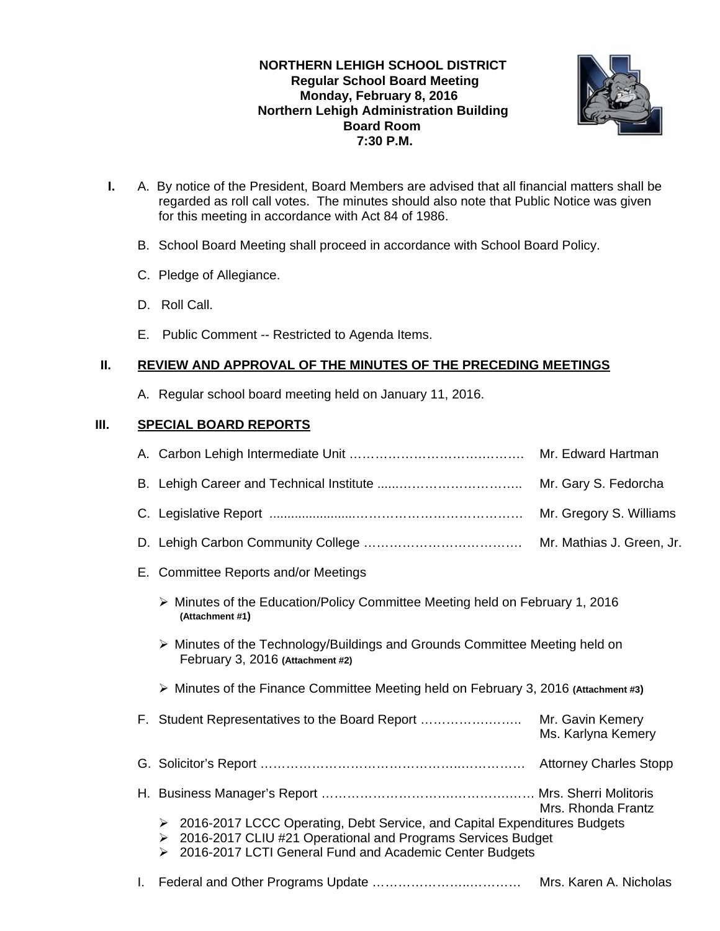## **NORTHERN LEHIGH SCHOOL DISTRICT Regular School Board Meeting Monday, February 8, 2016 Northern Lehigh Administration Building Board Room 7:30 P.M.**



- **I.** A. By notice of the President, Board Members are advised that all financial matters shall be regarded as roll call votes. The minutes should also note that Public Notice was given for this meeting in accordance with Act 84 of 1986.
	- B. School Board Meeting shall proceed in accordance with School Board Policy.
	- C. Pledge of Allegiance.
	- D. Roll Call.
	- E. Public Comment -- Restricted to Agenda Items.

# **II. REVIEW AND APPROVAL OF THE MINUTES OF THE PRECEDING MEETINGS**

A. Regular school board meeting held on January 11, 2016.

# **III. SPECIAL BOARD REPORTS**

|                                                                                                                                                                                                             | Mr. Edward Hartman        |
|-------------------------------------------------------------------------------------------------------------------------------------------------------------------------------------------------------------|---------------------------|
|                                                                                                                                                                                                             | Mr. Gary S. Fedorcha      |
|                                                                                                                                                                                                             | Mr. Gregory S. Williams   |
|                                                                                                                                                                                                             | Mr. Mathias J. Green, Jr. |
| E. Committee Reports and/or Meetings                                                                                                                                                                        |                           |
| ▶ Minutes of the Education/Policy Committee Meeting held on February 1, 2016<br>(Attachment #1)                                                                                                             |                           |
| > Minutes of the Technology/Buildings and Grounds Committee Meeting held on<br>February 3, 2016 (Attachment #2)                                                                                             |                           |
| $\triangleright$ Minutes of the Finance Committee Meeting held on February 3, 2016 (Attachment #3)                                                                                                          |                           |
|                                                                                                                                                                                                             | Ms. Karlyna Kemery        |
|                                                                                                                                                                                                             |                           |
|                                                                                                                                                                                                             | Mrs. Rhonda Frantz        |
| > 2016-2017 LCCC Operating, Debt Service, and Capital Expenditures Budgets<br>> 2016-2017 CLIU #21 Operational and Programs Services Budget<br>2016-2017 LCTI General Fund and Academic Center Budgets<br>➤ |                           |
|                                                                                                                                                                                                             | Mrs. Karen A. Nicholas    |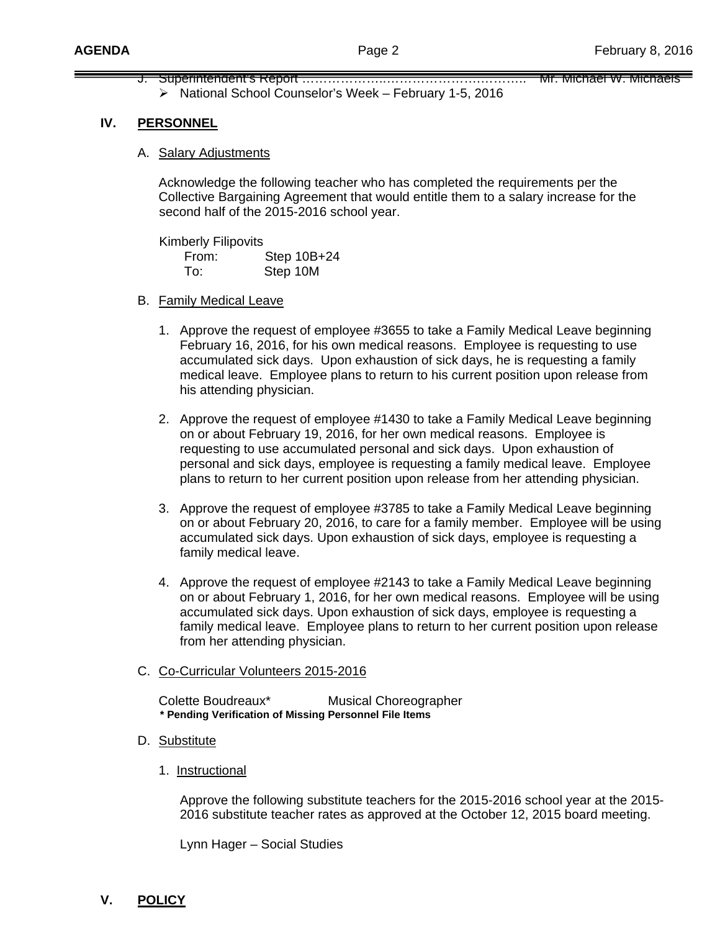J. Superintendent's Report ………………………………………………………… Mr. Michael W. Michaels National School Counselor's Week – February 1-5, 2016

### **IV. PERSONNEL**

A. Salary Adjustments

 Acknowledge the following teacher who has completed the requirements per the Collective Bargaining Agreement that would entitle them to a salary increase for the second half of the 2015-2016 school year.

 Kimberly Filipovits From: Step 10B+24 To: Step 10M

- B. Family Medical Leave
	- 1. Approve the request of employee #3655 to take a Family Medical Leave beginning February 16, 2016, for his own medical reasons. Employee is requesting to use accumulated sick days. Upon exhaustion of sick days, he is requesting a family medical leave. Employee plans to return to his current position upon release from his attending physician.
	- 2. Approve the request of employee #1430 to take a Family Medical Leave beginning on or about February 19, 2016, for her own medical reasons. Employee is requesting to use accumulated personal and sick days. Upon exhaustion of personal and sick days, employee is requesting a family medical leave. Employee plans to return to her current position upon release from her attending physician.
	- 3. Approve the request of employee #3785 to take a Family Medical Leave beginning on or about February 20, 2016, to care for a family member. Employee will be using accumulated sick days. Upon exhaustion of sick days, employee is requesting a family medical leave.
	- 4. Approve the request of employee #2143 to take a Family Medical Leave beginning on or about February 1, 2016, for her own medical reasons. Employee will be using accumulated sick days. Upon exhaustion of sick days, employee is requesting a family medical leave. Employee plans to return to her current position upon release from her attending physician.

#### C. Co-Curricular Volunteers 2015-2016

Colette Boudreaux\* Musical Choreographer  **\* Pending Verification of Missing Personnel File Items** 

- D. Substitute
	- 1. Instructional

Approve the following substitute teachers for the 2015-2016 school year at the 2015- 2016 substitute teacher rates as approved at the October 12, 2015 board meeting.

Lynn Hager – Social Studies

**V. POLICY**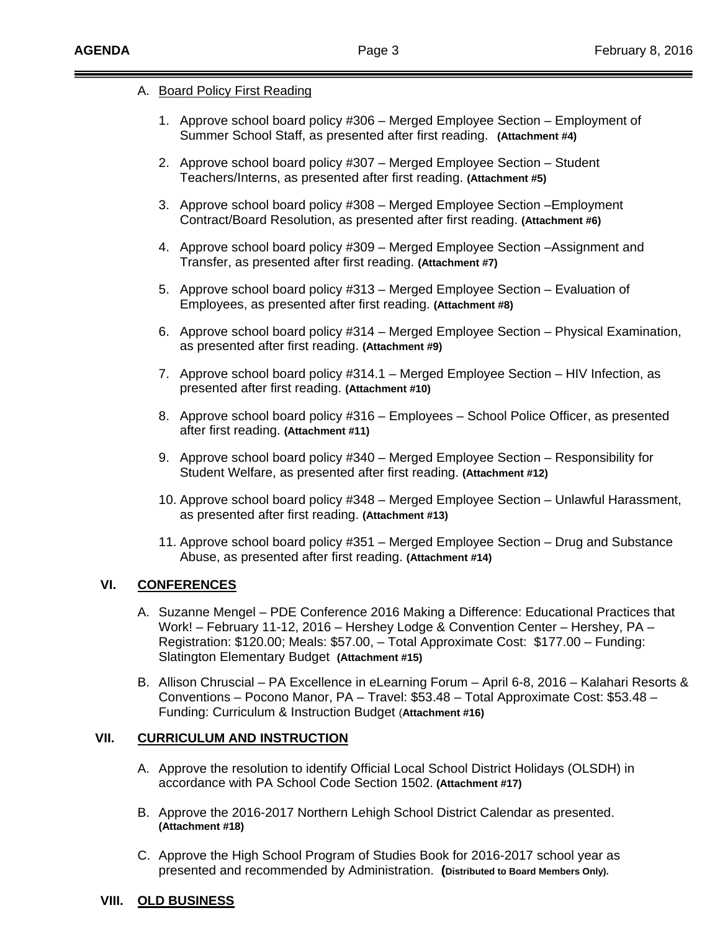### A. Board Policy First Reading

- 1. Approve school board policy #306 Merged Employee Section Employment of Summer School Staff, as presented after first reading. **(Attachment #4)**
- 2. Approve school board policy #307 Merged Employee Section Student Teachers/Interns, as presented after first reading. **(Attachment #5)**
- 3. Approve school board policy #308 Merged Employee Section –Employment Contract/Board Resolution, as presented after first reading. **(Attachment #6)**
- 4. Approve school board policy #309 Merged Employee Section –Assignment and Transfer, as presented after first reading. **(Attachment #7)**
- 5. Approve school board policy #313 Merged Employee Section Evaluation of Employees, as presented after first reading. **(Attachment #8)**
- 6. Approve school board policy #314 Merged Employee Section Physical Examination, as presented after first reading. **(Attachment #9)**
- 7. Approve school board policy #314.1 Merged Employee Section HIV Infection, as presented after first reading. **(Attachment #10)**
- 8. Approve school board policy #316 Employees School Police Officer, as presented after first reading. **(Attachment #11)**
- 9. Approve school board policy #340 Merged Employee Section Responsibility for Student Welfare, as presented after first reading. **(Attachment #12)**
- 10. Approve school board policy #348 Merged Employee Section Unlawful Harassment, as presented after first reading. **(Attachment #13)**
- 11. Approve school board policy #351 Merged Employee Section Drug and Substance Abuse, as presented after first reading. **(Attachment #14)**

## **VI. CONFERENCES**

- A. Suzanne Mengel PDE Conference 2016 Making a Difference: Educational Practices that Work! – February 11-12, 2016 – Hershey Lodge & Convention Center – Hershey, PA – Registration: \$120.00; Meals: \$57.00, – Total Approximate Cost: \$177.00 – Funding: Slatington Elementary Budget **(Attachment #15)**
- B. Allison Chruscial PA Excellence in eLearning Forum April 6-8, 2016 Kalahari Resorts & Conventions – Pocono Manor, PA – Travel: \$53.48 – Total Approximate Cost: \$53.48 – Funding: Curriculum & Instruction Budget (**Attachment #16)**

## **VII. CURRICULUM AND INSTRUCTION**

- A. Approve the resolution to identify Official Local School District Holidays (OLSDH) in accordance with PA School Code Section 1502. **(Attachment #17)**
- B. Approve the 2016-2017 Northern Lehigh School District Calendar as presented. **(Attachment #18)**
- C. Approve the High School Program of Studies Book for 2016-2017 school year as presented and recommended by Administration. **(Distributed to Board Members Only).**
- **VIII. OLD BUSINESS**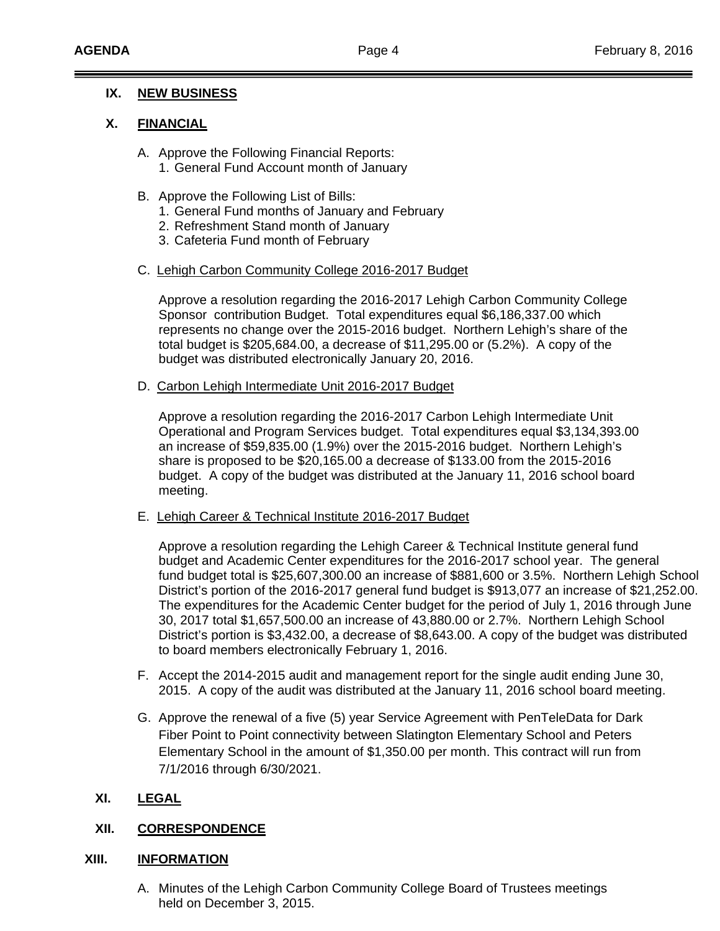## **IX. NEW BUSINESS**

## **X. FINANCIAL**

- A. Approve the Following Financial Reports: 1. General Fund Account month of January
- B. Approve the Following List of Bills:
	- 1. General Fund months of January and February
	- 2. Refreshment Stand month of January
	- 3. Cafeteria Fund month of February
- C. Lehigh Carbon Community College 2016-2017 Budget

Approve a resolution regarding the 2016-2017 Lehigh Carbon Community College Sponsor contribution Budget. Total expenditures equal \$6,186,337.00 which represents no change over the 2015-2016 budget. Northern Lehigh's share of the total budget is \$205,684.00, a decrease of \$11,295.00 or (5.2%). A copy of the budget was distributed electronically January 20, 2016.

D. Carbon Lehigh Intermediate Unit 2016-2017 Budget

Approve a resolution regarding the 2016-2017 Carbon Lehigh Intermediate Unit Operational and Program Services budget. Total expenditures equal \$3,134,393.00 an increase of \$59,835.00 (1.9%) over the 2015-2016 budget. Northern Lehigh's share is proposed to be \$20,165.00 a decrease of \$133.00 from the 2015-2016 budget. A copy of the budget was distributed at the January 11, 2016 school board meeting.

E. Lehigh Career & Technical Institute 2016-2017 Budget

Approve a resolution regarding the Lehigh Career & Technical Institute general fund budget and Academic Center expenditures for the 2016-2017 school year. The general fund budget total is \$25,607,300.00 an increase of \$881,600 or 3.5%. Northern Lehigh School District's portion of the 2016-2017 general fund budget is \$913,077 an increase of \$21,252.00. The expenditures for the Academic Center budget for the period of July 1, 2016 through June 30, 2017 total \$1,657,500.00 an increase of 43,880.00 or 2.7%. Northern Lehigh School District's portion is \$3,432.00, a decrease of \$8,643.00. A copy of the budget was distributed to board members electronically February 1, 2016.

- F. Accept the 2014-2015 audit and management report for the single audit ending June 30, 2015. A copy of the audit was distributed at the January 11, 2016 school board meeting.
- G. Approve the renewal of a five (5) year Service Agreement with PenTeleData for Dark Fiber Point to Point connectivity between Slatington Elementary School and Peters Elementary School in the amount of \$1,350.00 per month. This contract will run from 7/1/2016 through 6/30/2021.

## **XI. LEGAL**

## **XII. CORRESPONDENCE**

## **XIII. INFORMATION**

A. Minutes of the Lehigh Carbon Community College Board of Trustees meetings held on December 3, 2015.